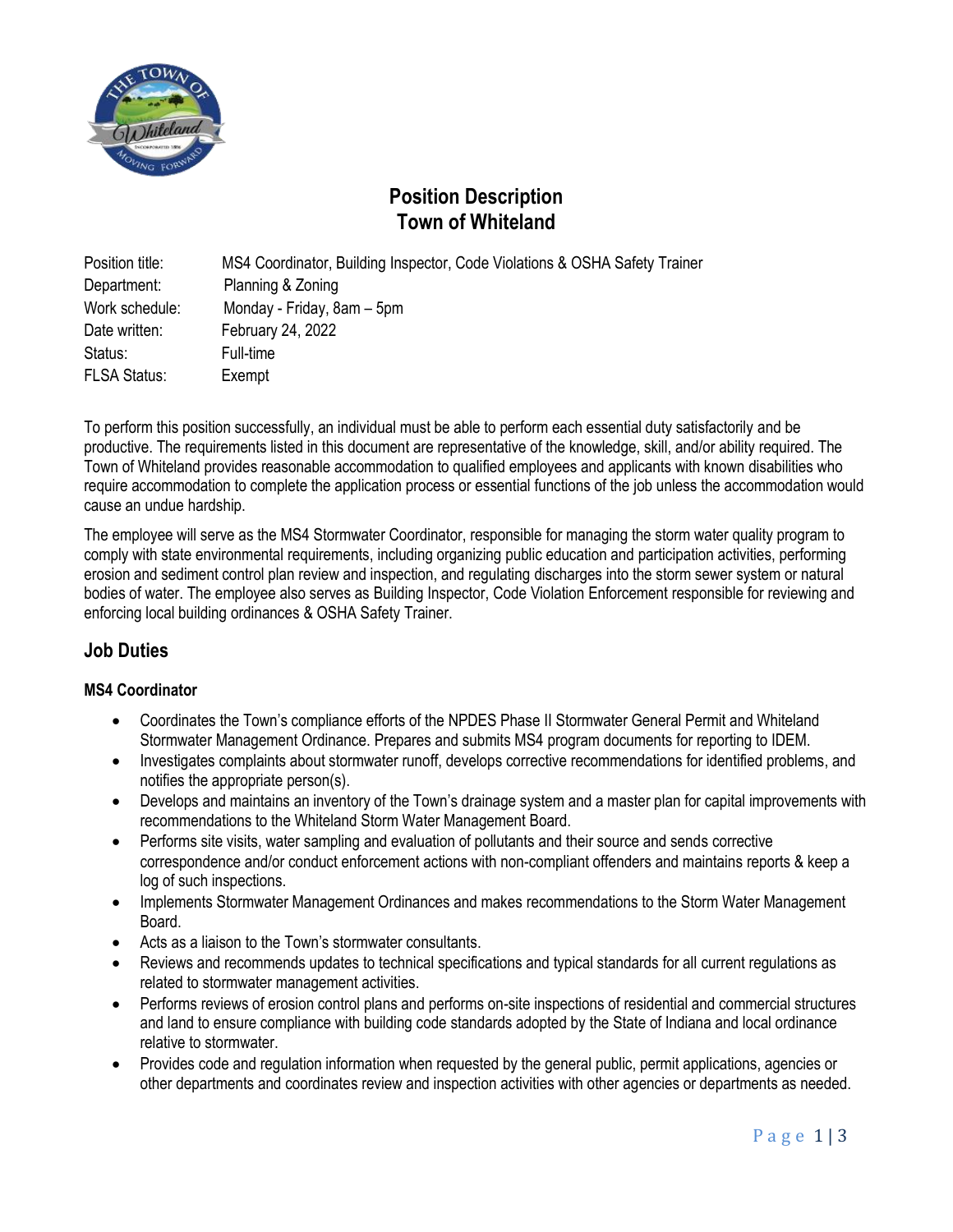

# **Position Description Town of Whiteland**

| Position title:     | MS4 Coordinator, Building Inspector, Code Violations & OSHA Safety Trainer |
|---------------------|----------------------------------------------------------------------------|
| Department:         | Planning & Zoning                                                          |
| Work schedule:      | Monday - Friday, 8am - 5pm                                                 |
| Date written:       | February 24, 2022                                                          |
| Status:             | Full-time                                                                  |
| <b>FLSA Status:</b> | Exempt                                                                     |

To perform this position successfully, an individual must be able to perform each essential duty satisfactorily and be productive. The requirements listed in this document are representative of the knowledge, skill, and/or ability required. The Town of Whiteland provides reasonable accommodation to qualified employees and applicants with known disabilities who require accommodation to complete the application process or essential functions of the job unless the accommodation would cause an undue hardship.

The employee will serve as the MS4 Stormwater Coordinator, responsible for managing the storm water quality program to comply with state environmental requirements, including organizing public education and participation activities, performing erosion and sediment control plan review and inspection, and regulating discharges into the storm sewer system or natural bodies of water. The employee also serves as Building Inspector, Code Violation Enforcement responsible for reviewing and enforcing local building ordinances & OSHA Safety Trainer.

# **Job Duties**

# **MS4 Coordinator**

- Coordinates the Town's compliance efforts of the NPDES Phase II Stormwater General Permit and Whiteland Stormwater Management Ordinance. Prepares and submits MS4 program documents for reporting to IDEM.
- Investigates complaints about stormwater runoff, develops corrective recommendations for identified problems, and notifies the appropriate person(s).
- Develops and maintains an inventory of the Town's drainage system and a master plan for capital improvements with recommendations to the Whiteland Storm Water Management Board.
- Performs site visits, water sampling and evaluation of pollutants and their source and sends corrective correspondence and/or conduct enforcement actions with non-compliant offenders and maintains reports & keep a log of such inspections.
- Implements Stormwater Management Ordinances and makes recommendations to the Storm Water Management Board.
- Acts as a liaison to the Town's stormwater consultants.
- Reviews and recommends updates to technical specifications and typical standards for all current regulations as related to stormwater management activities.
- Performs reviews of erosion control plans and performs on-site inspections of residential and commercial structures and land to ensure compliance with building code standards adopted by the State of Indiana and local ordinance relative to stormwater.
- Provides code and regulation information when requested by the general public, permit applications, agencies or other departments and coordinates review and inspection activities with other agencies or departments as needed.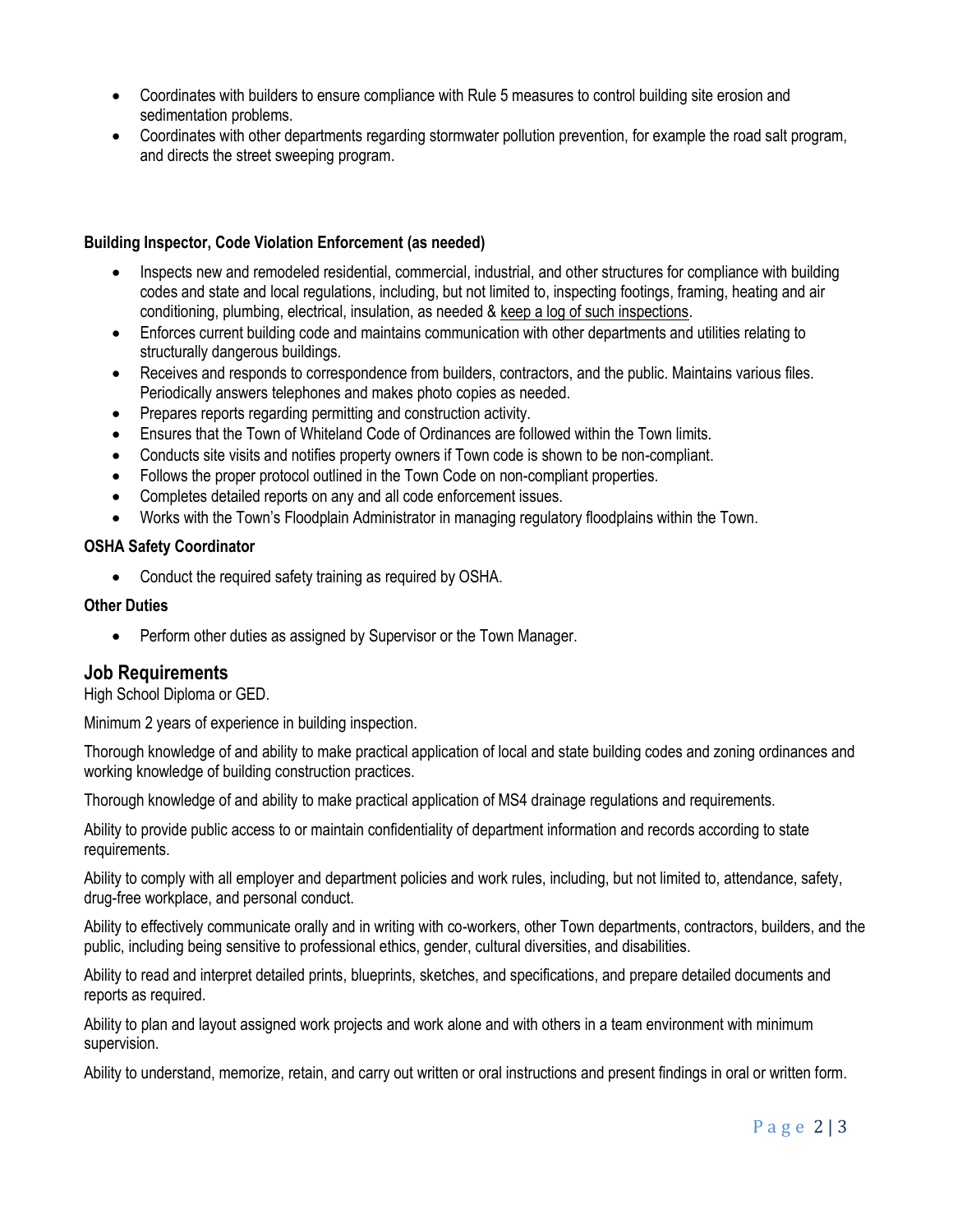- Coordinates with builders to ensure compliance with Rule 5 measures to control building site erosion and sedimentation problems.
- Coordinates with other departments regarding stormwater pollution prevention, for example the road salt program, and directs the street sweeping program.

### **Building Inspector, Code Violation Enforcement (as needed)**

- Inspects new and remodeled residential, commercial, industrial, and other structures for compliance with building codes and state and local regulations, including, but not limited to, inspecting footings, framing, heating and air conditioning, plumbing, electrical, insulation, as needed & keep a log of such inspections.
- Enforces current building code and maintains communication with other departments and utilities relating to structurally dangerous buildings.
- Receives and responds to correspondence from builders, contractors, and the public. Maintains various files. Periodically answers telephones and makes photo copies as needed.
- Prepares reports regarding permitting and construction activity.
- Ensures that the Town of Whiteland Code of Ordinances are followed within the Town limits.
- Conducts site visits and notifies property owners if Town code is shown to be non-compliant.
- Follows the proper protocol outlined in the Town Code on non-compliant properties.
- Completes detailed reports on any and all code enforcement issues.
- Works with the Town's Floodplain Administrator in managing regulatory floodplains within the Town.

#### **OSHA Safety Coordinator**

• Conduct the required safety training as required by OSHA.

#### **Other Duties**

• Perform other duties as assigned by Supervisor or the Town Manager.

## **Job Requirements**

High School Diploma or GED.

Minimum 2 years of experience in building inspection.

Thorough knowledge of and ability to make practical application of local and state building codes and zoning ordinances and working knowledge of building construction practices.

Thorough knowledge of and ability to make practical application of MS4 drainage regulations and requirements.

Ability to provide public access to or maintain confidentiality of department information and records according to state requirements.

Ability to comply with all employer and department policies and work rules, including, but not limited to, attendance, safety, drug-free workplace, and personal conduct.

Ability to effectively communicate orally and in writing with co-workers, other Town departments, contractors, builders, and the public, including being sensitive to professional ethics, gender, cultural diversities, and disabilities.

Ability to read and interpret detailed prints, blueprints, sketches, and specifications, and prepare detailed documents and reports as required.

Ability to plan and layout assigned work projects and work alone and with others in a team environment with minimum supervision.

Ability to understand, memorize, retain, and carry out written or oral instructions and present findings in oral or written form.